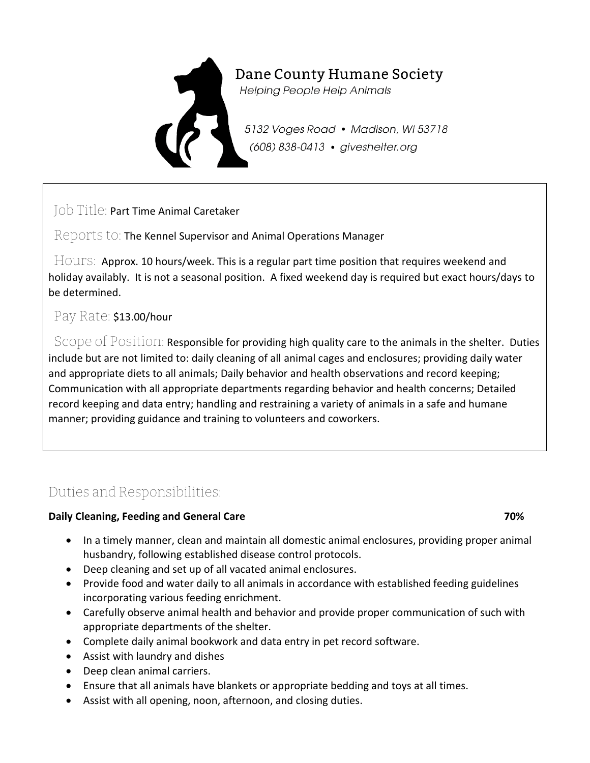# Dane County Humane Society **Helping People Help Animals**

5132 Voges Road • Madison, WI 53718 (608) 838-0413 · giveshelter.org

Job Title: Part Time Animal Caretaker

Reports to: The Kennel Supervisor and Animal Operations Manager

Hours: Approx. 10 hours/week. This is a regular part time position that requires weekend and holiday availably. It is not a seasonal position. A fixed weekend day is required but exact hours/days to be determined.

#### Pay Rate: \$13.00/hour

Scope of Position: Responsible for providing high quality care to the animals in the shelter. Duties include but are not limited to: daily cleaning of all animal cages and enclosures; providing daily water and appropriate diets to all animals; Daily behavior and health observations and record keeping; Communication with all appropriate departments regarding behavior and health concerns; Detailed record keeping and data entry; handling and restraining a variety of animals in a safe and humane manner; providing guidance and training to volunteers and coworkers.

## Duties and Responsibilities:

#### **Daily Cleaning, Feeding and General Care 70%** and  $\sigma$  70%

- In a timely manner, clean and maintain all domestic animal enclosures, providing proper animal husbandry, following established disease control protocols.
- Deep cleaning and set up of all vacated animal enclosures.
- Provide food and water daily to all animals in accordance with established feeding guidelines incorporating various feeding enrichment.
- Carefully observe animal health and behavior and provide proper communication of such with appropriate departments of the shelter.
- Complete daily animal bookwork and data entry in pet record software.
- Assist with laundry and dishes
- Deep clean animal carriers.
- Ensure that all animals have blankets or appropriate bedding and toys at all times.
- Assist with all opening, noon, afternoon, and closing duties.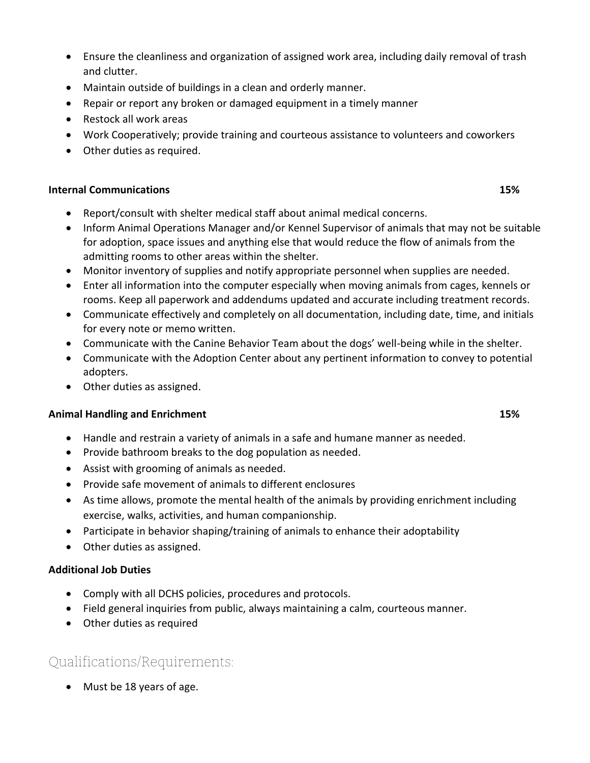- Ensure the cleanliness and organization of assigned work area, including daily removal of trash and clutter.
- Maintain outside of buildings in a clean and orderly manner.
- Repair or report any broken or damaged equipment in a timely manner
- Restock all work areas
- Work Cooperatively; provide training and courteous assistance to volunteers and coworkers
- Other duties as required.

#### **Internal Communications 15%**

- Report/consult with shelter medical staff about animal medical concerns.
- Inform Animal Operations Manager and/or Kennel Supervisor of animals that may not be suitable for adoption, space issues and anything else that would reduce the flow of animals from the admitting rooms to other areas within the shelter.
- Monitor inventory of supplies and notify appropriate personnel when supplies are needed.
- Enter all information into the computer especially when moving animals from cages, kennels or rooms. Keep all paperwork and addendums updated and accurate including treatment records.
- Communicate effectively and completely on all documentation, including date, time, and initials for every note or memo written.
- Communicate with the Canine Behavior Team about the dogs' well-being while in the shelter.
- Communicate with the Adoption Center about any pertinent information to convey to potential adopters.
- Other duties as assigned.

#### **Animal Handling and Enrichment 15%**

- Handle and restrain a variety of animals in a safe and humane manner as needed.
- Provide bathroom breaks to the dog population as needed.
- Assist with grooming of animals as needed.
- Provide safe movement of animals to different enclosures
- As time allows, promote the mental health of the animals by providing enrichment including exercise, walks, activities, and human companionship.
- Participate in behavior shaping/training of animals to enhance their adoptability
- Other duties as assigned.

#### **Additional Job Duties**

- Comply with all DCHS policies, procedures and protocols.
- Field general inquiries from public, always maintaining a calm, courteous manner.
- Other duties as required

### Qualifications/Requirements:

• Must be 18 years of age.